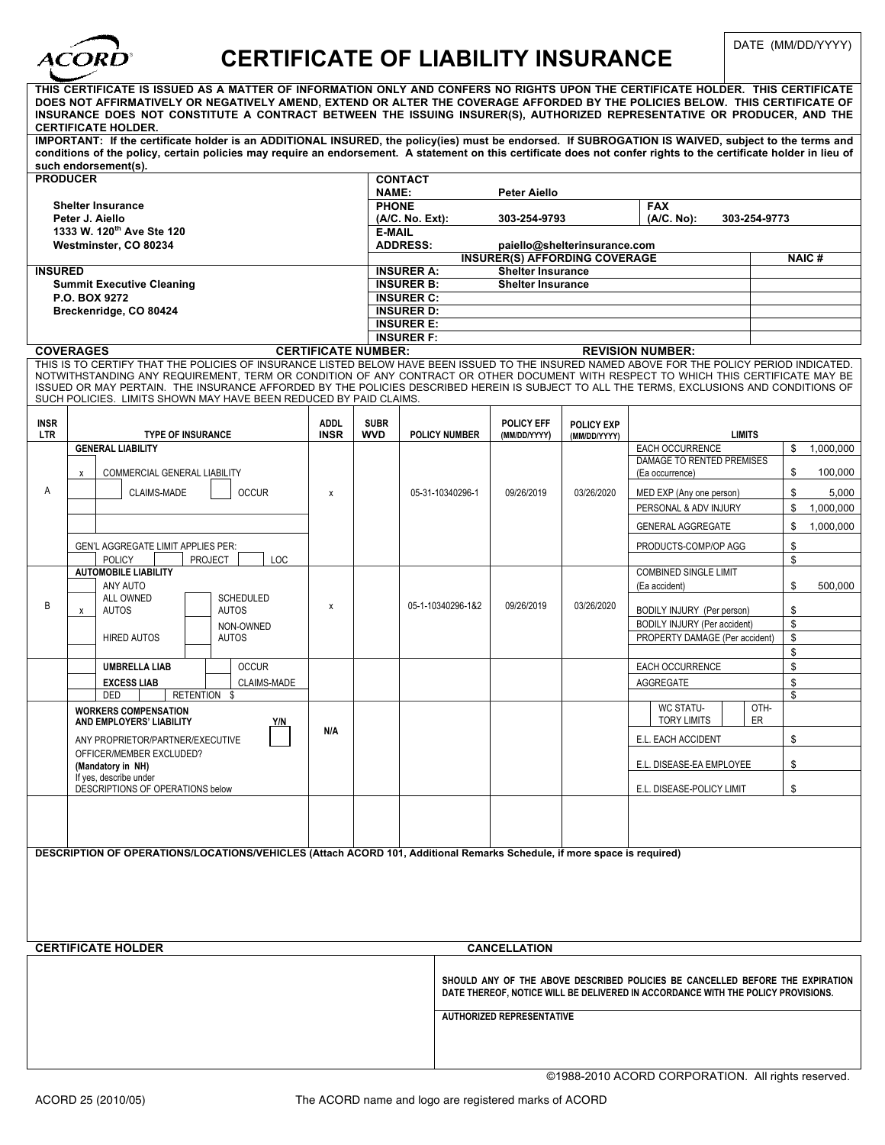

## CERTIFICATE OF LIABILITY INSURANCE **DATE (MM/DD/YYYY)**

| THIS CERTIFICATE IS ISSUED AS A MATTER OF INFORMATION ONLY AND CONFERS NO RIGHTS UPON THE CERTIFICATE HOLDER. THIS CERTIFICATE<br>DOES NOT AFFIRMATIVELY OR NEGATIVELY AMEND, EXTEND OR ALTER THE COVERAGE AFFORDED BY THE POLICIES BELOW. THIS CERTIFICATE OF<br>INSURANCE DOES NOT CONSTITUTE A CONTRACT BETWEEN THE ISSUING INSURER(S), AUTHORIZED REPRESENTATIVE OR PRODUCER, AND THE<br><b>CERTIFICATE HOLDER.</b><br>IMPORTANT: If the certificate holder is an ADDITIONAL INSURED, the policy(ies) must be endorsed. If SUBROGATION IS WAIVED, subject to the terms and |                                                                                       |     |                |                                                                    |                              |                                      |                              |                                  |            |                   |  |
|--------------------------------------------------------------------------------------------------------------------------------------------------------------------------------------------------------------------------------------------------------------------------------------------------------------------------------------------------------------------------------------------------------------------------------------------------------------------------------------------------------------------------------------------------------------------------------|---------------------------------------------------------------------------------------|-----|----------------|--------------------------------------------------------------------|------------------------------|--------------------------------------|------------------------------|----------------------------------|------------|-------------------|--|
| conditions of the policy, certain policies may require an endorsement. A statement on this certificate does not confer rights to the certificate holder in lieu of<br>such endorsement(s).                                                                                                                                                                                                                                                                                                                                                                                     |                                                                                       |     |                |                                                                    |                              |                                      |                              |                                  |            |                   |  |
| <b>PRODUCER</b>                                                                                                                                                                                                                                                                                                                                                                                                                                                                                                                                                                |                                                                                       |     | <b>CONTACT</b> |                                                                    |                              |                                      |                              |                                  |            |                   |  |
| <b>Shelter Insurance</b>                                                                                                                                                                                                                                                                                                                                                                                                                                                                                                                                                       |                                                                                       |     |                | NAME:<br>Peter Aiello<br><b>PHONE</b><br><b>FAX</b>                |                              |                                      |                              |                                  |            |                   |  |
| Peter J. Aiello                                                                                                                                                                                                                                                                                                                                                                                                                                                                                                                                                                |                                                                                       |     |                | (A/C. No):<br>(A/C. No. Ext):<br>303-254-9793                      |                              |                                      |                              |                                  |            | 303-254-9773      |  |
| 1333 W. 120 <sup>th</sup> Ave Ste 120                                                                                                                                                                                                                                                                                                                                                                                                                                                                                                                                          |                                                                                       |     |                | <b>E-MAIL</b><br><b>ADDRESS:</b><br>paiello@shelterinsurance.com   |                              |                                      |                              |                                  |            |                   |  |
| Westminster, CO 80234                                                                                                                                                                                                                                                                                                                                                                                                                                                                                                                                                          |                                                                                       |     |                |                                                                    |                              | <b>INSURER(S) AFFORDING COVERAGE</b> | <b>NAIC#</b>                 |                                  |            |                   |  |
| <b>INSURED</b>                                                                                                                                                                                                                                                                                                                                                                                                                                                                                                                                                                 |                                                                                       |     |                | <b>INSURER A:</b>                                                  |                              | <b>Shelter Insurance</b>             |                              |                                  |            |                   |  |
| <b>Summit Executive Cleaning</b><br>P.O. BOX 9272                                                                                                                                                                                                                                                                                                                                                                                                                                                                                                                              |                                                                                       |     |                | <b>INSURER B:</b><br><b>Shelter Insurance</b><br><b>INSURER C:</b> |                              |                                      |                              |                                  |            |                   |  |
| Breckenridge, CO 80424                                                                                                                                                                                                                                                                                                                                                                                                                                                                                                                                                         |                                                                                       |     |                | <b>INSURER D:</b>                                                  |                              |                                      |                              |                                  |            |                   |  |
|                                                                                                                                                                                                                                                                                                                                                                                                                                                                                                                                                                                |                                                                                       |     |                | <b>INSURER E:</b><br><b>INSURER F:</b>                             |                              |                                      |                              |                                  |            |                   |  |
| <b>COVERAGES</b><br><b>CERTIFICATE NUMBER:</b>                                                                                                                                                                                                                                                                                                                                                                                                                                                                                                                                 |                                                                                       |     |                | <b>REVISION NUMBER:</b>                                            |                              |                                      |                              |                                  |            |                   |  |
| THIS IS TO CERTIFY THAT THE POLICIES OF INSURANCE LISTED BELOW HAVE BEEN ISSUED TO THE INSURED NAMED ABOVE FOR THE POLICY PERIOD INDICATED.<br>NOTWITHSTANDING ANY REQUIREMENT, TERM OR CONDITION OF ANY CONTRACT OR OTHER DOCUMENT WITH RESPECT TO WHICH THIS CERTIFICATE MAY BE<br>ISSUED OR MAY PERTAIN. THE INSURANCE AFFORDED BY THE POLICIES DESCRIBED HEREIN IS SUBJECT TO ALL THE TERMS, EXCLUSIONS AND CONDITIONS OF<br>SUCH POLICIES. LIMITS SHOWN MAY HAVE BEEN REDUCED BY PAID CLAIMS.                                                                             |                                                                                       |     |                |                                                                    |                              |                                      |                              |                                  |            |                   |  |
| <b>INSR</b>                                                                                                                                                                                                                                                                                                                                                                                                                                                                                                                                                                    | <b>ADDL</b>                                                                           |     | <b>SUBR</b>    |                                                                    |                              | <b>POLICY EFF</b>                    | <b>POLICY EXP</b>            |                                  |            |                   |  |
| <b>LTR</b>                                                                                                                                                                                                                                                                                                                                                                                                                                                                                                                                                                     | <b>TYPE OF INSURANCE</b><br><b>INSR</b><br><b>GENERAL LIABILITY</b>                   |     | <b>WVD</b>     |                                                                    | <b>POLICY NUMBER</b>         | (MM/DD/YYYY)                         | (MM/DD/YYYY)                 | <b>LIMITS</b><br>EACH OCCURRENCE |            | \$<br>1.000.000   |  |
|                                                                                                                                                                                                                                                                                                                                                                                                                                                                                                                                                                                |                                                                                       |     |                |                                                                    |                              | 09/26/2019                           | 03/26/2020                   | DAMAGE TO RENTED PREMISES        |            |                   |  |
|                                                                                                                                                                                                                                                                                                                                                                                                                                                                                                                                                                                | COMMERCIAL GENERAL LIABILITY<br>X                                                     |     |                |                                                                    |                              |                                      |                              | (Ea occurrence)                  |            | \$<br>100,000     |  |
| Α                                                                                                                                                                                                                                                                                                                                                                                                                                                                                                                                                                              | CLAIMS-MADE<br><b>OCCUR</b>                                                           | x   |                |                                                                    | 05-31-10340296-1             |                                      |                              | MED EXP (Any one person)         |            | \$<br>5,000<br>\$ |  |
|                                                                                                                                                                                                                                                                                                                                                                                                                                                                                                                                                                                |                                                                                       |     |                |                                                                    |                              |                                      |                              | PERSONAL & ADV INJURY            |            | 1,000,000         |  |
|                                                                                                                                                                                                                                                                                                                                                                                                                                                                                                                                                                                |                                                                                       |     |                |                                                                    |                              |                                      |                              | <b>GENERAL AGGREGATE</b>         |            | \$<br>1,000,000   |  |
|                                                                                                                                                                                                                                                                                                                                                                                                                                                                                                                                                                                | GEN'L AGGREGATE LIMIT APPLIES PER:<br><b>POLICY</b><br>PROJECT<br>LOC                 |     |                |                                                                    |                              |                                      |                              | PRODUCTS-COMP/OP AGG             |            | \$<br>\$          |  |
|                                                                                                                                                                                                                                                                                                                                                                                                                                                                                                                                                                                | <b>AUTOMOBILE LIABILITY</b>                                                           |     |                |                                                                    |                              |                                      | <b>COMBINED SINGLE LIMIT</b> |                                  |            |                   |  |
|                                                                                                                                                                                                                                                                                                                                                                                                                                                                                                                                                                                | ANY AUTO<br><b>ALL OWNED</b><br><b>SCHEDULED</b>                                      |     |                |                                                                    |                              | 09/26/2019                           | 03/26/2020                   | (Ea accident)                    |            | \$<br>500,000     |  |
| B                                                                                                                                                                                                                                                                                                                                                                                                                                                                                                                                                                              | <b>AUTOS</b><br><b>AUTOS</b><br>х                                                     | X   |                |                                                                    | 05-1-10340296-1&2            |                                      |                              | BODILY INJURY (Per person)       |            | \$                |  |
|                                                                                                                                                                                                                                                                                                                                                                                                                                                                                                                                                                                | NON-OWNED                                                                             |     |                |                                                                    | BODILY INJURY (Per accident) |                                      |                              |                                  | \$         |                   |  |
|                                                                                                                                                                                                                                                                                                                                                                                                                                                                                                                                                                                | <b>HIRED AUTOS</b><br><b>AUTOS</b>                                                    |     |                |                                                                    |                              |                                      |                              | PROPERTY DAMAGE (Per accident)   |            | \$<br>\$          |  |
|                                                                                                                                                                                                                                                                                                                                                                                                                                                                                                                                                                                | <b>OCCUR</b><br><b>UMBRELLA LIAB</b>                                                  |     |                |                                                                    |                              |                                      |                              | EACH OCCURRENCE                  |            | \$                |  |
|                                                                                                                                                                                                                                                                                                                                                                                                                                                                                                                                                                                | <b>EXCESS LIAB</b><br>CLAIMS-MADE                                                     |     |                |                                                                    |                              |                                      |                              | AGGREGATE                        |            | \$                |  |
|                                                                                                                                                                                                                                                                                                                                                                                                                                                                                                                                                                                | DED<br>RETENTION \$<br><b>WORKERS COMPENSATION</b><br>Y/N<br>AND EMPLOYERS' LIABILITY |     |                |                                                                    |                              |                                      |                              | WC STATU-<br><b>TORY LIMITS</b>  | OTH-<br>ER | \$                |  |
|                                                                                                                                                                                                                                                                                                                                                                                                                                                                                                                                                                                | ANY PROPRIETOR/PARTNER/EXECUTIVE                                                      | N/A |                |                                                                    |                              |                                      |                              | E.L. EACH ACCIDENT               |            | \$                |  |
|                                                                                                                                                                                                                                                                                                                                                                                                                                                                                                                                                                                | OFFICER/MEMBER EXCLUDED?                                                              |     |                |                                                                    |                              |                                      |                              |                                  |            |                   |  |
|                                                                                                                                                                                                                                                                                                                                                                                                                                                                                                                                                                                | (Mandatory in NH)<br>If yes, describe under                                           |     |                |                                                                    |                              |                                      |                              | E.L. DISEASE-EA EMPLOYEE         |            | \$                |  |
|                                                                                                                                                                                                                                                                                                                                                                                                                                                                                                                                                                                | DESCRIPTIONS OF OPERATIONS below                                                      |     |                |                                                                    |                              |                                      |                              | E.L. DISEASE-POLICY LIMIT        |            | \$                |  |
|                                                                                                                                                                                                                                                                                                                                                                                                                                                                                                                                                                                |                                                                                       |     |                |                                                                    |                              |                                      |                              |                                  |            |                   |  |
| DESCRIPTION OF OPERATIONS/LOCATIONS/VEHICLES (Attach ACORD 101, Additional Remarks Schedule, if more space is required)                                                                                                                                                                                                                                                                                                                                                                                                                                                        |                                                                                       |     |                |                                                                    |                              |                                      |                              |                                  |            |                   |  |
|                                                                                                                                                                                                                                                                                                                                                                                                                                                                                                                                                                                |                                                                                       |     |                |                                                                    |                              |                                      |                              |                                  |            |                   |  |
|                                                                                                                                                                                                                                                                                                                                                                                                                                                                                                                                                                                |                                                                                       |     |                |                                                                    |                              |                                      |                              |                                  |            |                   |  |
|                                                                                                                                                                                                                                                                                                                                                                                                                                                                                                                                                                                |                                                                                       |     |                |                                                                    |                              |                                      |                              |                                  |            |                   |  |
|                                                                                                                                                                                                                                                                                                                                                                                                                                                                                                                                                                                |                                                                                       |     |                |                                                                    |                              |                                      |                              |                                  |            |                   |  |
| <b>CERTIFICATE HOLDER</b><br><b>CANCELLATION</b>                                                                                                                                                                                                                                                                                                                                                                                                                                                                                                                               |                                                                                       |     |                |                                                                    |                              |                                      |                              |                                  |            |                   |  |
| SHOULD ANY OF THE ABOVE DESCRIBED POLICIES BE CANCELLED BEFORE THE EXPIRATION<br>DATE THEREOF, NOTICE WILL BE DELIVERED IN ACCORDANCE WITH THE POLICY PROVISIONS.                                                                                                                                                                                                                                                                                                                                                                                                              |                                                                                       |     |                |                                                                    |                              |                                      |                              |                                  |            |                   |  |
| <b>AUTHORIZED REPRESENTATIVE</b>                                                                                                                                                                                                                                                                                                                                                                                                                                                                                                                                               |                                                                                       |     |                |                                                                    |                              |                                      |                              |                                  |            |                   |  |
|                                                                                                                                                                                                                                                                                                                                                                                                                                                                                                                                                                                |                                                                                       |     |                |                                                                    |                              |                                      |                              |                                  |            |                   |  |

©1988-2010 ACORD CORPORATION. All rights reserved.